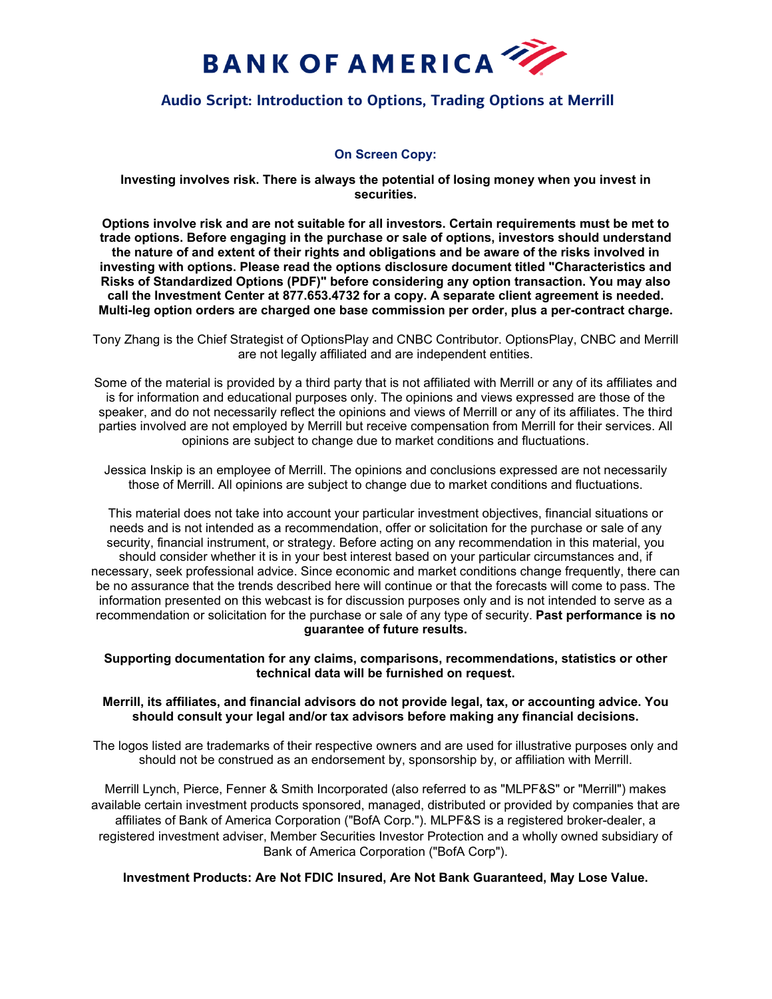

# **Audio Script: Introduction to Options, Trading Options at Merrill**

# **On Screen Copy:**

**Investing involves risk. There is always the potential of losing money when you invest in securities.**

**Options involve risk and are not suitable for all investors. Certain requirements must be met to trade options. Before engaging in the purchase or sale of options, investors should understand the nature of and extent of their rights and obligations and be aware of the risks involved in investing with options. Please read the options disclosure document titled "Characteristics and Risks of Standardized Options (PDF)" before considering any option transaction. You may also call the Investment Center at 877.653.4732 for a copy. A separate client agreement is needed. Multi-leg option orders are charged one base commission per order, plus a per-contract charge.**

Tony Zhang is the Chief Strategist of OptionsPlay and CNBC Contributor. OptionsPlay, CNBC and Merrill are not legally affiliated and are independent entities.

Some of the material is provided by a third party that is not affiliated with Merrill or any of its affiliates and is for information and educational purposes only. The opinions and views expressed are those of the speaker, and do not necessarily reflect the opinions and views of Merrill or any of its affiliates. The third parties involved are not employed by Merrill but receive compensation from Merrill for their services. All opinions are subject to change due to market conditions and fluctuations.

Jessica Inskip is an employee of Merrill. The opinions and conclusions expressed are not necessarily those of Merrill. All opinions are subject to change due to market conditions and fluctuations.

This material does not take into account your particular investment objectives, financial situations or needs and is not intended as a recommendation, offer or solicitation for the purchase or sale of any security, financial instrument, or strategy. Before acting on any recommendation in this material, you should consider whether it is in your best interest based on your particular circumstances and, if necessary, seek professional advice. Since economic and market conditions change frequently, there can be no assurance that the trends described here will continue or that the forecasts will come to pass. The information presented on this webcast is for discussion purposes only and is not intended to serve as a recommendation or solicitation for the purchase or sale of any type of security. **Past performance is no guarantee of future results.**

#### **Supporting documentation for any claims, comparisons, recommendations, statistics or other technical data will be furnished on request.**

## **Merrill, its affiliates, and financial advisors do not provide legal, tax, or accounting advice. You should consult your legal and/or tax advisors before making any financial decisions.**

The logos listed are trademarks of their respective owners and are used for illustrative purposes only and should not be construed as an endorsement by, sponsorship by, or affiliation with Merrill.

Merrill Lynch, Pierce, Fenner & Smith Incorporated (also referred to as "MLPF&S" or "Merrill") makes available certain investment products sponsored, managed, distributed or provided by companies that are affiliates of Bank of America Corporation ("BofA Corp."). MLPF&S is a registered broker-dealer, a registered investment adviser, Member Securities Investor Protection and a wholly owned subsidiary of Bank of America Corporation ("BofA Corp").

## **Investment Products: Are Not FDIC Insured, Are Not Bank Guaranteed, May Lose Value.**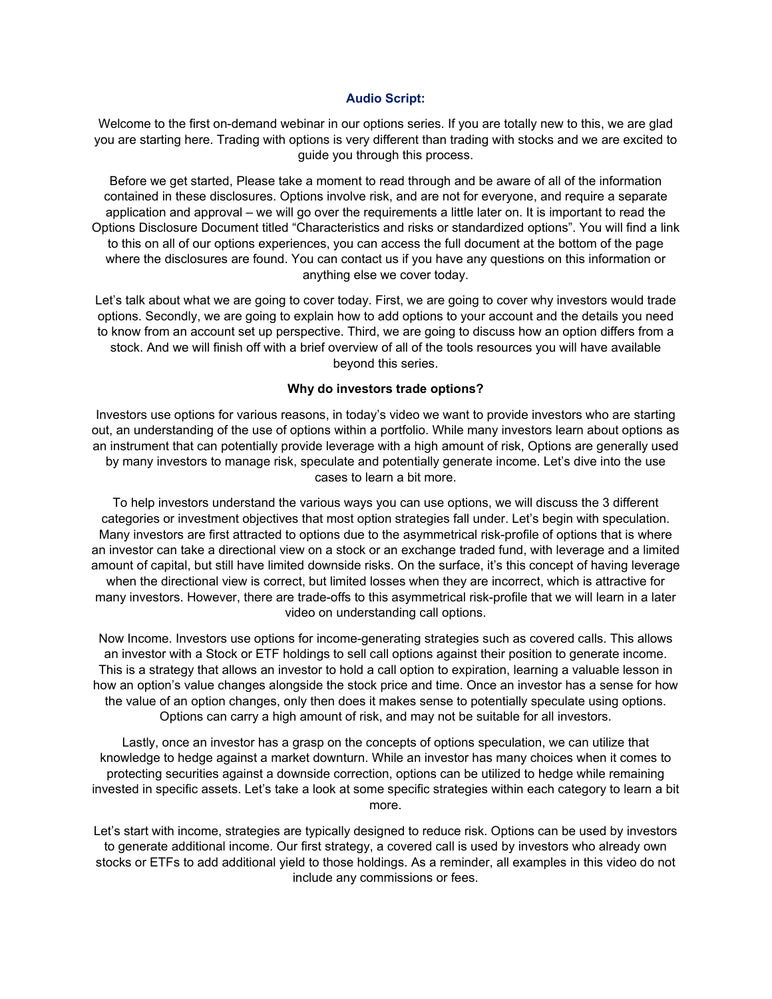## **Audio Script:**

Welcome to the first on-demand webinar in our options series. If you are totally new to this, we are glad you are starting here. Trading with options is very different than trading with stocks and we are excited to guide you through this process.

Before we get started, Please take a moment to read through and be aware of all of the information contained in these disclosures. Options involve risk, and are not for everyone, and require a separate application and approval – we will go over the requirements a little later on. It is important to read the Options Disclosure Document titled "Characteristics and risks or standardized options". You will find a link to this on all of our options experiences, you can access the full document at the bottom of the page where the disclosures are found. You can contact us if you have any questions on this information or anything else we cover today.

Let's talk about what we are going to cover today. First, we are going to cover why investors would trade options. Secondly, we are going to explain how to add options to your account and the details you need to know from an account set up perspective. Third, we are going to discuss how an option differs from a stock. And we will finish off with a brief overview of all of the tools resources you will have available beyond this series.

#### **Why do investors trade options?**

Investors use options for various reasons, in today's video we want to provide investors who are starting out, an understanding of the use of options within a portfolio. While many investors learn about options as an instrument that can potentially provide leverage with a high amount of risk, Options are generally used by many investors to manage risk, speculate and potentially generate income. Let's dive into the use cases to learn a bit more.

To help investors understand the various ways you can use options, we will discuss the 3 different categories or investment objectives that most option strategies fall under. Let's begin with speculation. Many investors are first attracted to options due to the asymmetrical risk-profile of options that is where an investor can take a directional view on a stock or an exchange traded fund, with leverage and a limited amount of capital, but still have limited downside risks. On the surface, it's this concept of having leverage when the directional view is correct, but limited losses when they are incorrect, which is attractive for many investors. However, there are trade-offs to this asymmetrical risk-profile that we will learn in a later video on understanding call options.

Now Income. Investors use options for income-generating strategies such as covered calls. This allows an investor with a Stock or ETF holdings to sell call options against their position to generate income. This is a strategy that allows an investor to hold a call option to expiration, learning a valuable lesson in how an option's value changes alongside the stock price and time. Once an investor has a sense for how the value of an option changes, only then does it makes sense to potentially speculate using options. Options can carry a high amount of risk, and may not be suitable for all investors.

Lastly, once an investor has a grasp on the concepts of options speculation, we can utilize that knowledge to hedge against a market downturn. While an investor has many choices when it comes to protecting securities against a downside correction, options can be utilized to hedge while remaining invested in specific assets. Let's take a look at some specific strategies within each category to learn a bit more.

Let's start with income, strategies are typically designed to reduce risk. Options can be used by investors to generate additional income. Our first strategy, a covered call is used by investors who already own stocks or ETFs to add additional yield to those holdings. As a reminder, all examples in this video do not include any commissions or fees.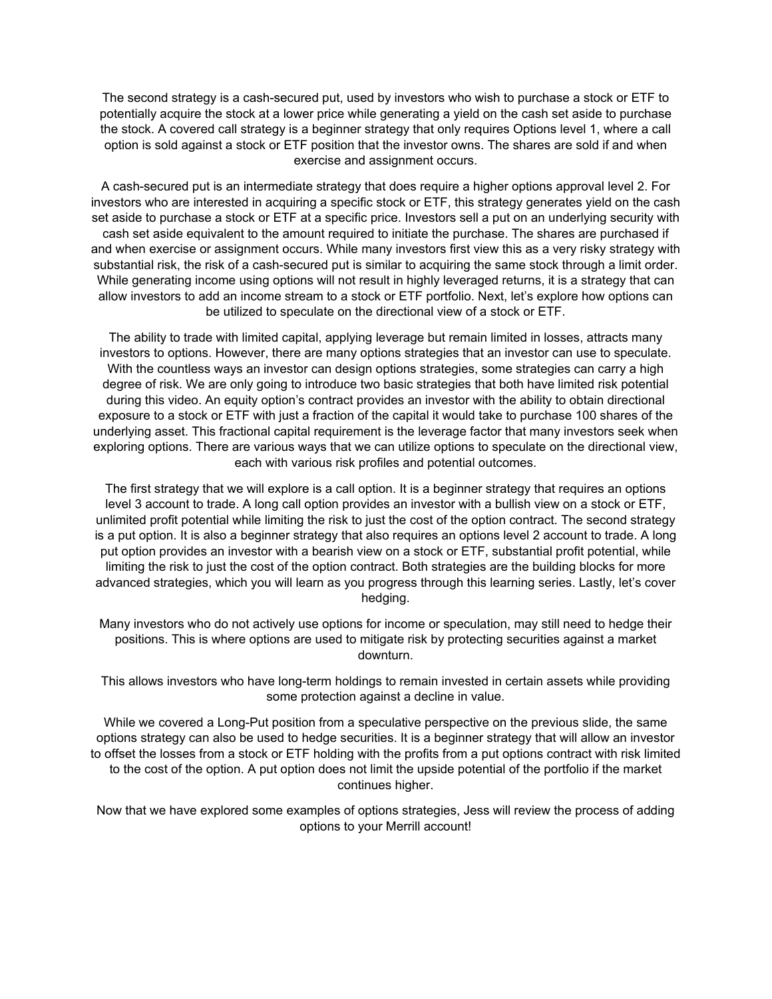The second strategy is a cash-secured put, used by investors who wish to purchase a stock or ETF to potentially acquire the stock at a lower price while generating a yield on the cash set aside to purchase the stock. A covered call strategy is a beginner strategy that only requires Options level 1, where a call option is sold against a stock or ETF position that the investor owns. The shares are sold if and when exercise and assignment occurs.

A cash-secured put is an intermediate strategy that does require a higher options approval level 2. For investors who are interested in acquiring a specific stock or ETF, this strategy generates yield on the cash set aside to purchase a stock or ETF at a specific price. Investors sell a put on an underlying security with cash set aside equivalent to the amount required to initiate the purchase. The shares are purchased if and when exercise or assignment occurs. While many investors first view this as a very risky strategy with substantial risk, the risk of a cash-secured put is similar to acquiring the same stock through a limit order. While generating income using options will not result in highly leveraged returns, it is a strategy that can allow investors to add an income stream to a stock or ETF portfolio. Next, let's explore how options can be utilized to speculate on the directional view of a stock or ETF.

The ability to trade with limited capital, applying leverage but remain limited in losses, attracts many investors to options. However, there are many options strategies that an investor can use to speculate. With the countless ways an investor can design options strategies, some strategies can carry a high degree of risk. We are only going to introduce two basic strategies that both have limited risk potential during this video. An equity option's contract provides an investor with the ability to obtain directional exposure to a stock or ETF with just a fraction of the capital it would take to purchase 100 shares of the underlying asset. This fractional capital requirement is the leverage factor that many investors seek when exploring options. There are various ways that we can utilize options to speculate on the directional view, each with various risk profiles and potential outcomes.

The first strategy that we will explore is a call option. It is a beginner strategy that requires an options level 3 account to trade. A long call option provides an investor with a bullish view on a stock or ETF, unlimited profit potential while limiting the risk to just the cost of the option contract. The second strategy is a put option. It is also a beginner strategy that also requires an options level 2 account to trade. A long put option provides an investor with a bearish view on a stock or ETF, substantial profit potential, while limiting the risk to just the cost of the option contract. Both strategies are the building blocks for more advanced strategies, which you will learn as you progress through this learning series. Lastly, let's cover hedging.

Many investors who do not actively use options for income or speculation, may still need to hedge their positions. This is where options are used to mitigate risk by protecting securities against a market downturn.

This allows investors who have long-term holdings to remain invested in certain assets while providing some protection against a decline in value.

While we covered a Long-Put position from a speculative perspective on the previous slide, the same options strategy can also be used to hedge securities. It is a beginner strategy that will allow an investor to offset the losses from a stock or ETF holding with the profits from a put options contract with risk limited to the cost of the option. A put option does not limit the upside potential of the portfolio if the market continues higher.

Now that we have explored some examples of options strategies, Jess will review the process of adding options to your Merrill account!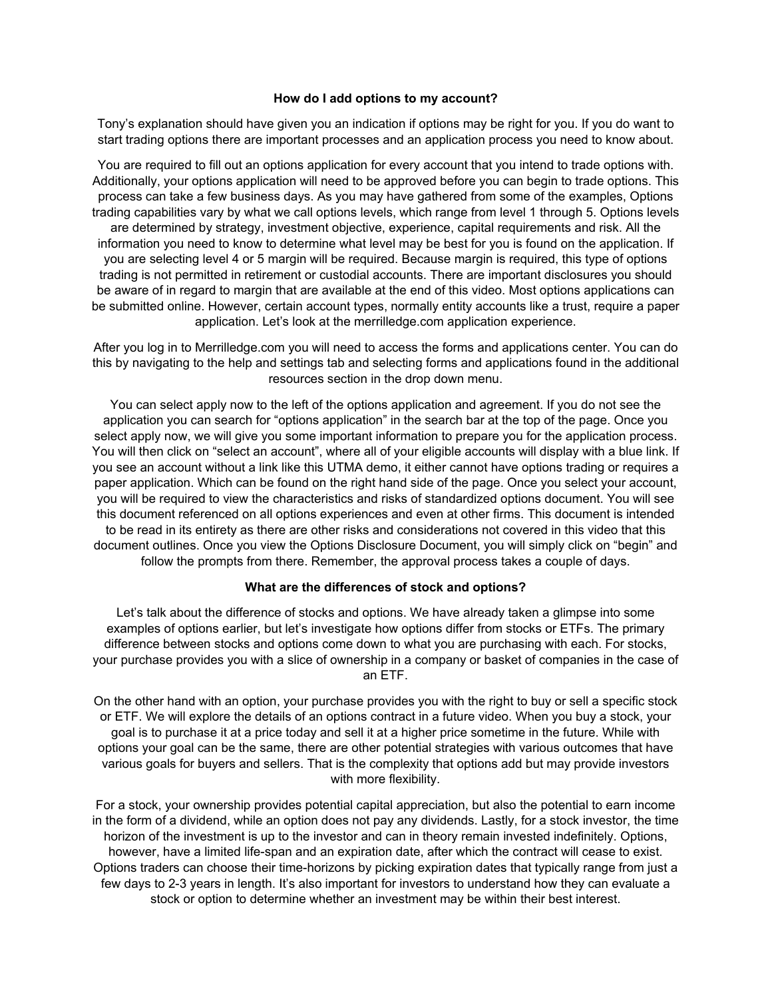#### **How do I add options to my account?**

Tony's explanation should have given you an indication if options may be right for you. If you do want to start trading options there are important processes and an application process you need to know about.

You are required to fill out an options application for every account that you intend to trade options with. Additionally, your options application will need to be approved before you can begin to trade options. This process can take a few business days. As you may have gathered from some of the examples, Options trading capabilities vary by what we call options levels, which range from level 1 through 5. Options levels are determined by strategy, investment objective, experience, capital requirements and risk. All the information you need to know to determine what level may be best for you is found on the application. If you are selecting level 4 or 5 margin will be required. Because margin is required, this type of options trading is not permitted in retirement or custodial accounts. There are important disclosures you should be aware of in regard to margin that are available at the end of this video. Most options applications can be submitted online. However, certain account types, normally entity accounts like a trust, require a paper application. Let's look at the merrilledge.com application experience.

After you log in to Merrilledge.com you will need to access the forms and applications center. You can do this by navigating to the help and settings tab and selecting forms and applications found in the additional resources section in the drop down menu.

You can select apply now to the left of the options application and agreement. If you do not see the application you can search for "options application" in the search bar at the top of the page. Once you select apply now, we will give you some important information to prepare you for the application process. You will then click on "select an account", where all of your eligible accounts will display with a blue link. If you see an account without a link like this UTMA demo, it either cannot have options trading or requires a paper application. Which can be found on the right hand side of the page. Once you select your account, you will be required to view the characteristics and risks of standardized options document. You will see this document referenced on all options experiences and even at other firms. This document is intended to be read in its entirety as there are other risks and considerations not covered in this video that this document outlines. Once you view the Options Disclosure Document, you will simply click on "begin" and follow the prompts from there. Remember, the approval process takes a couple of days.

#### **What are the differences of stock and options?**

Let's talk about the difference of stocks and options. We have already taken a glimpse into some examples of options earlier, but let's investigate how options differ from stocks or ETFs. The primary difference between stocks and options come down to what you are purchasing with each. For stocks, your purchase provides you with a slice of ownership in a company or basket of companies in the case of an ETF.

On the other hand with an option, your purchase provides you with the right to buy or sell a specific stock or ETF. We will explore the details of an options contract in a future video. When you buy a stock, your goal is to purchase it at a price today and sell it at a higher price sometime in the future. While with options your goal can be the same, there are other potential strategies with various outcomes that have various goals for buyers and sellers. That is the complexity that options add but may provide investors with more flexibility.

For a stock, your ownership provides potential capital appreciation, but also the potential to earn income in the form of a dividend, while an option does not pay any dividends. Lastly, for a stock investor, the time horizon of the investment is up to the investor and can in theory remain invested indefinitely. Options, however, have a limited life-span and an expiration date, after which the contract will cease to exist. Options traders can choose their time-horizons by picking expiration dates that typically range from just a few days to 2-3 years in length. It's also important for investors to understand how they can evaluate a stock or option to determine whether an investment may be within their best interest.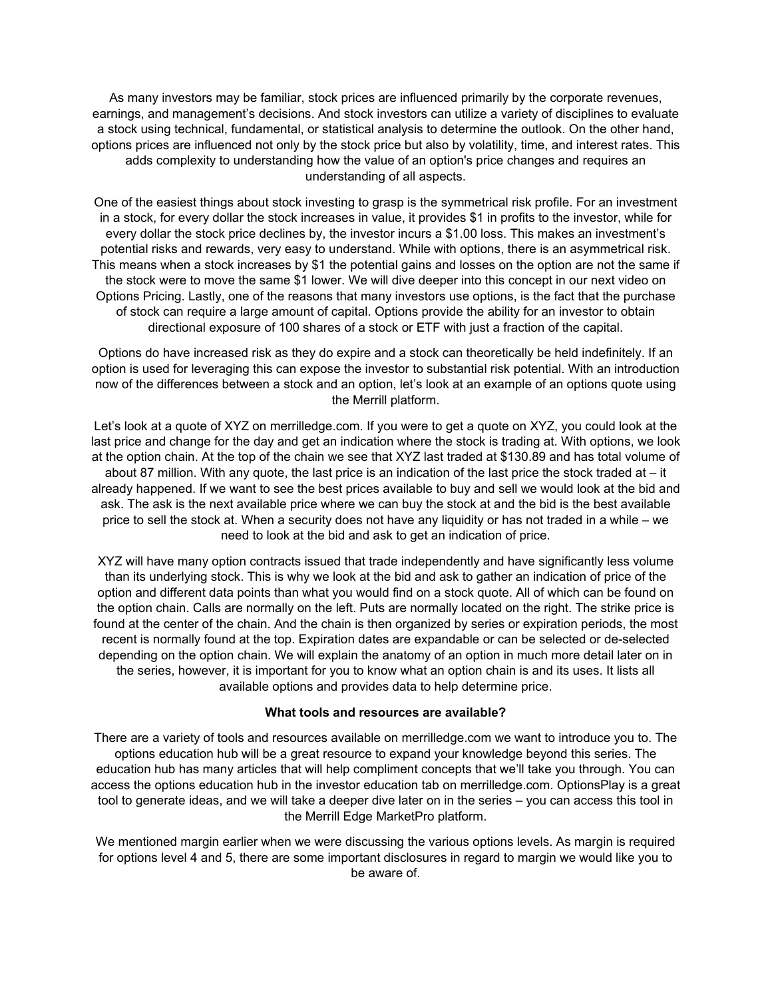As many investors may be familiar, stock prices are influenced primarily by the corporate revenues, earnings, and management's decisions. And stock investors can utilize a variety of disciplines to evaluate a stock using technical, fundamental, or statistical analysis to determine the outlook. On the other hand, options prices are influenced not only by the stock price but also by volatility, time, and interest rates. This adds complexity to understanding how the value of an option's price changes and requires an understanding of all aspects.

One of the easiest things about stock investing to grasp is the symmetrical risk profile. For an investment in a stock, for every dollar the stock increases in value, it provides \$1 in profits to the investor, while for every dollar the stock price declines by, the investor incurs a \$1.00 loss. This makes an investment's potential risks and rewards, very easy to understand. While with options, there is an asymmetrical risk. This means when a stock increases by \$1 the potential gains and losses on the option are not the same if the stock were to move the same \$1 lower. We will dive deeper into this concept in our next video on Options Pricing. Lastly, one of the reasons that many investors use options, is the fact that the purchase of stock can require a large amount of capital. Options provide the ability for an investor to obtain directional exposure of 100 shares of a stock or ETF with just a fraction of the capital.

Options do have increased risk as they do expire and a stock can theoretically be held indefinitely. If an option is used for leveraging this can expose the investor to substantial risk potential. With an introduction now of the differences between a stock and an option, let's look at an example of an options quote using the Merrill platform.

Let's look at a quote of XYZ on merrilledge.com. If you were to get a quote on XYZ, you could look at the last price and change for the day and get an indication where the stock is trading at. With options, we look at the option chain. At the top of the chain we see that XYZ last traded at \$130.89 and has total volume of about 87 million. With any quote, the last price is an indication of the last price the stock traded at – it already happened. If we want to see the best prices available to buy and sell we would look at the bid and ask. The ask is the next available price where we can buy the stock at and the bid is the best available price to sell the stock at. When a security does not have any liquidity or has not traded in a while – we need to look at the bid and ask to get an indication of price.

XYZ will have many option contracts issued that trade independently and have significantly less volume than its underlying stock. This is why we look at the bid and ask to gather an indication of price of the option and different data points than what you would find on a stock quote. All of which can be found on the option chain. Calls are normally on the left. Puts are normally located on the right. The strike price is found at the center of the chain. And the chain is then organized by series or expiration periods, the most recent is normally found at the top. Expiration dates are expandable or can be selected or de-selected depending on the option chain. We will explain the anatomy of an option in much more detail later on in the series, however, it is important for you to know what an option chain is and its uses. It lists all available options and provides data to help determine price.

## **What tools and resources are available?**

There are a variety of tools and resources available on merrilledge.com we want to introduce you to. The options education hub will be a great resource to expand your knowledge beyond this series. The education hub has many articles that will help compliment concepts that we'll take you through. You can access the options education hub in the investor education tab on merrilledge.com. OptionsPlay is a great tool to generate ideas, and we will take a deeper dive later on in the series – you can access this tool in the Merrill Edge MarketPro platform.

We mentioned margin earlier when we were discussing the various options levels. As margin is required for options level 4 and 5, there are some important disclosures in regard to margin we would like you to be aware of.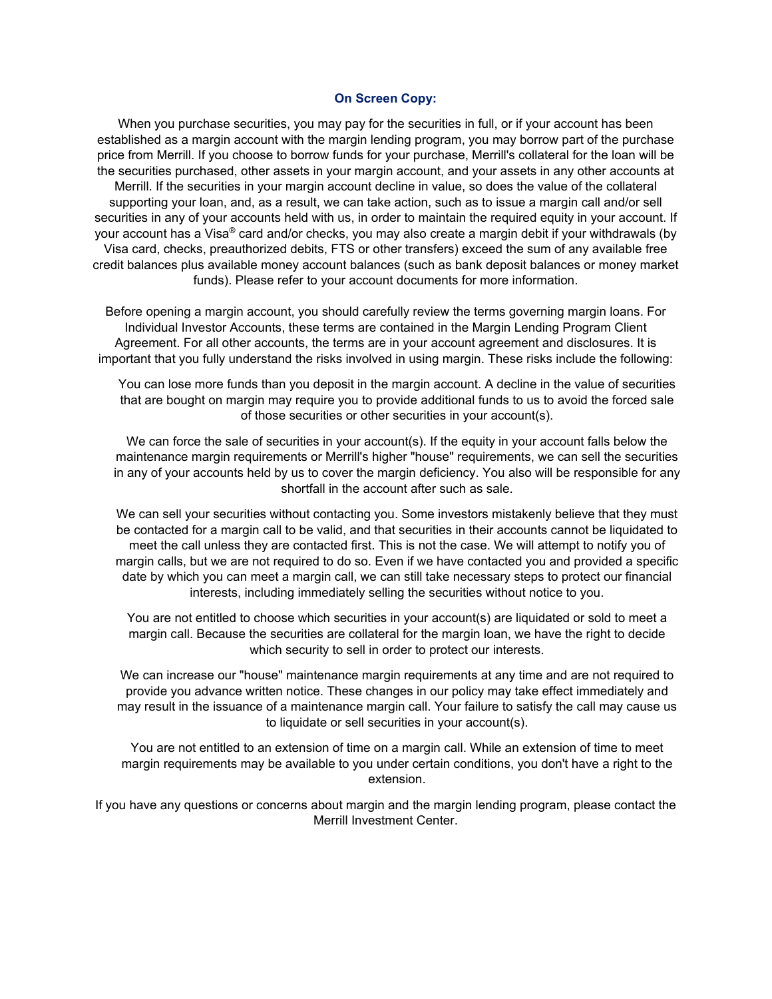#### **On Screen Copy:**

When you purchase securities, you may pay for the securities in full, or if your account has been established as a margin account with the margin lending program, you may borrow part of the purchase price from Merrill. If you choose to borrow funds for your purchase, Merrill's collateral for the loan will be the securities purchased, other assets in your margin account, and your assets in any other accounts at Merrill. If the securities in your margin account decline in value, so does the value of the collateral supporting your loan, and, as a result, we can take action, such as to issue a margin call and/or sell securities in any of your accounts held with us, in order to maintain the required equity in your account. If your account has a Visa® card and/or checks, you may also create a margin debit if your withdrawals (by Visa card, checks, preauthorized debits, FTS or other transfers) exceed the sum of any available free credit balances plus available money account balances (such as bank deposit balances or money market funds). Please refer to your account documents for more information.

Before opening a margin account, you should carefully review the terms governing margin loans. For Individual Investor Accounts, these terms are contained in the Margin Lending Program Client Agreement. For all other accounts, the terms are in your account agreement and disclosures. It is important that you fully understand the risks involved in using margin. These risks include the following:

You can lose more funds than you deposit in the margin account. A decline in the value of securities that are bought on margin may require you to provide additional funds to us to avoid the forced sale of those securities or other securities in your account(s).

We can force the sale of securities in your account(s). If the equity in your account falls below the maintenance margin requirements or Merrill's higher "house" requirements, we can sell the securities in any of your accounts held by us to cover the margin deficiency. You also will be responsible for any shortfall in the account after such as sale.

We can sell your securities without contacting you. Some investors mistakenly believe that they must be contacted for a margin call to be valid, and that securities in their accounts cannot be liquidated to meet the call unless they are contacted first. This is not the case. We will attempt to notify you of margin calls, but we are not required to do so. Even if we have contacted you and provided a specific date by which you can meet a margin call, we can still take necessary steps to protect our financial interests, including immediately selling the securities without notice to you.

You are not entitled to choose which securities in your account(s) are liquidated or sold to meet a margin call. Because the securities are collateral for the margin loan, we have the right to decide which security to sell in order to protect our interests.

We can increase our "house" maintenance margin requirements at any time and are not required to provide you advance written notice. These changes in our policy may take effect immediately and may result in the issuance of a maintenance margin call. Your failure to satisfy the call may cause us to liquidate or sell securities in your account(s).

You are not entitled to an extension of time on a margin call. While an extension of time to meet margin requirements may be available to you under certain conditions, you don't have a right to the extension.

If you have any questions or concerns about margin and the margin lending program, please contact the Merrill Investment Center.